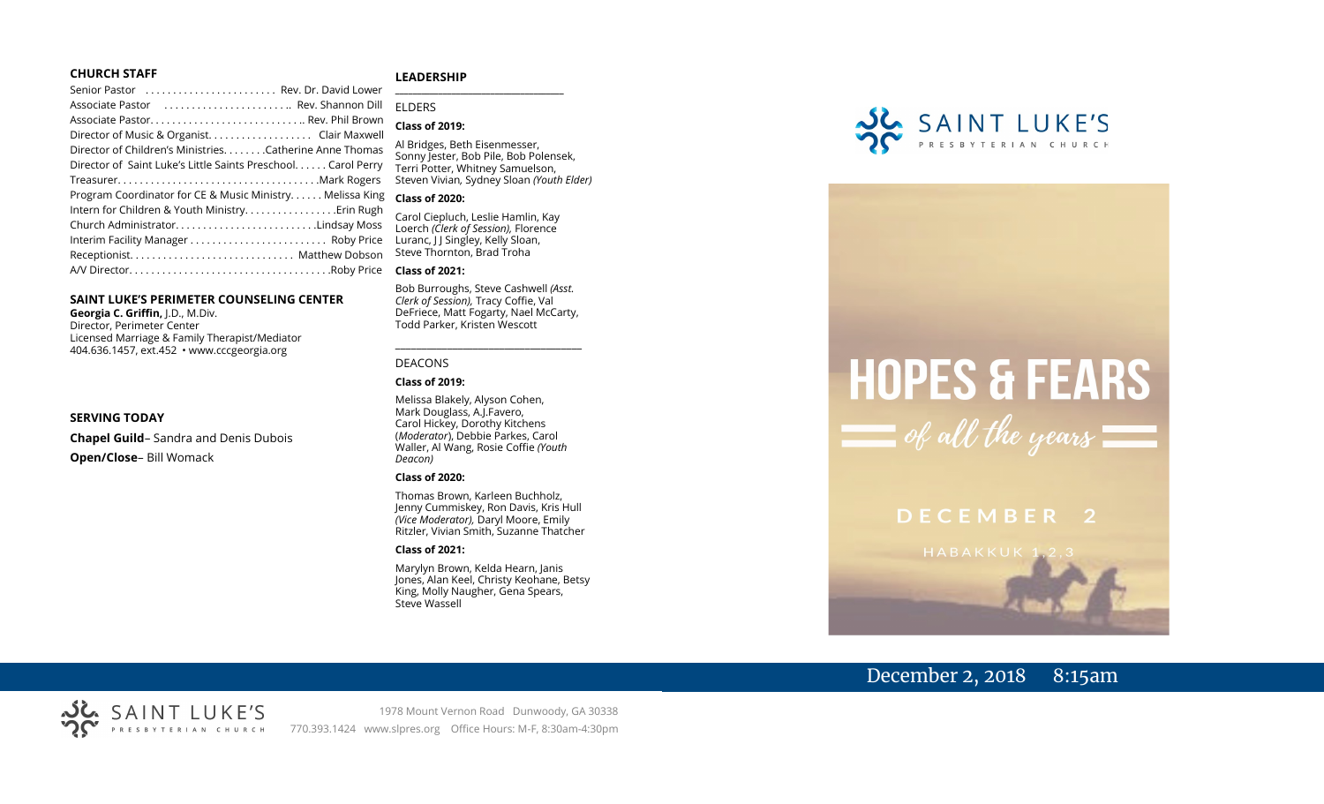#### **CHURCH STAFF**

#### **LEADERSHIP**

Senior Pastor . . . . . . . . . . . . . . . . . . . . . . . . Rev. Dr. David Lower Associate Pastor . . . . . . . . . . . . . . . . . . . . . . .. Rev. Shannon Dill Associate Pastor. . . . . . . . . . . . . . . . . . . . . . . . . . . .. Rev. Phil Brown Director of Music & Organist. . . . . . . . . . . . . . . . . . . Clair Maxwell Director of Children's Ministries. . . . . . . .Catherine Anne Thomas Director of Saint Luke's Little Saints Preschool. . . . . . Carol Perry Treasurer. . . . . . . . . . . . . . . . . . . . . . . . . . . . . . . . . . . . .Mark Rogers Program Coordinator for CE & Music Ministry. . . . . . Melissa King Intern for Children & Youth Ministry...............Erin Rugh Church Administrator. . . . . . . . . . . . . . . . . . . . . . . . . .Lindsay Moss Interim Facility Manager . . . . . . . . . . . . . . . . . . . . . . . . . Roby Price Receptionist. . . . . . . . . . . . . . . . . . . . . . . . . . . . . . Matthew Dobson A/V Director. . . . . . . . . . . . . . . . . . . . . . . . . . . . . . . . . . . . .Roby Price **Class of 2021:**

#### **SAINT LUKE'S PERIMETER COUNSELING CENTER**

**Georgia C. Griffin,** J.D., M.Div. Director, Perimeter Center Licensed Marriage & Family Therapist/Mediator 404.636.1457, ext.452 • www.cccgeorgia.org

#### **SERVING TODAY**

**Chapel Guild**– Sandra and Denis Dubois

**Open/Close**– Bill Womack

#### **\_\_\_\_\_\_\_\_\_\_\_\_\_\_\_\_\_\_\_\_\_\_\_\_\_\_\_\_\_\_\_\_\_\_\_\_\_\_\_** ELDERS

**Class of 2019:**

Al Bridges, Beth Eisenmesser, Sonny Jester, Bob Pile, Bob Polensek, Terri Potter, Whitney Samuelson, Steven Vivian*,* Sydney Sloan *(Youth Elder)*

#### **Class of 2020:**

Carol Ciepluch, Leslie Hamlin, Kay Loerch *(Clerk of Session),* Florence Luranc, J J Singley, Kelly Sloan, Steve Thornton, Brad Troha

Bob Burroughs, Steve Cashwell *(Asst. Clerk of Session),* Tracy Coffie, Val DeFriece, Matt Fogarty, Nael McCarty, Todd Parker, Kristen Wescott

\_\_\_\_\_\_\_\_\_\_\_\_\_\_\_\_\_\_\_\_\_\_\_\_\_\_\_\_\_\_\_\_\_\_\_\_

#### DEACONS

#### **Class of 2019:**

Melissa Blakely, Alyson Cohen, Mark Douglass, A.J.Favero, Carol Hickey, Dorothy Kitchens (*Moderator*), Debbie Parkes, Carol Waller, Al Wang, Rosie Coffie *(Youth Deacon)* 

#### **Class of 2020:**

Thomas Brown, Karleen Buchholz, Jenny Cummiskey, Ron Davis, Kris Hull *(Vice Moderator),* Daryl Moore, Emily Ritzler, Vivian Smith, Suzanne Thatcher

#### **Class of 2021:**

Marylyn Brown, Kelda Hearn, Janis Jones, Alan Keel, Christy Keohane, Betsy King, Molly Naugher, Gena Spears, Steve Wassell



# **HOPES & FEARS**  $=$  of all the years  $=$

DECEMBER 2

# December 2, 2018 8:15am

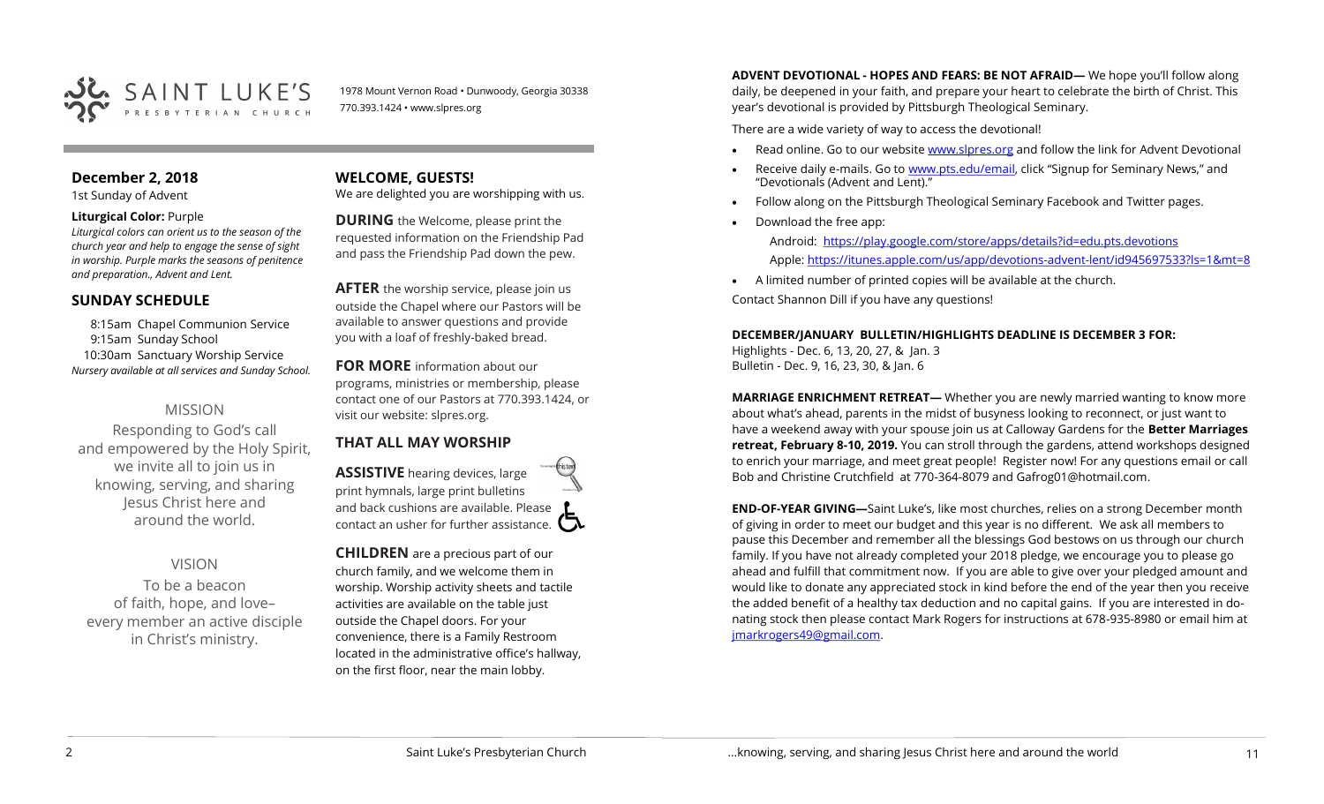

1978 Mount Vernon Road • Dunwoody, Georgia 30338 770.393.1424 • www.slpres.org

## **December 2, 2018**

1st Sunday of Advent

#### **Liturgical Color:** Purple

*Liturgical colors can orient us to the season of the church year and help to engage the sense of sight in worship. Purple marks the seasons of penitence and preparation., Advent and Lent.* 

# **SUNDAY SCHEDULE**

8:15am Chapel Communion Service 9:15am Sunday School 10:30am Sanctuary Worship Service *Nursery available at all services and Sunday School.* 

# MISSION

Responding to God's call and empowered by the Holy Spirit, we invite all to join us in knowing, serving, and sharing Jesus Christ here and around the world.

# VISION

To be a beacon of faith, hope, and love– every member an active disciple in Christ's ministry.

## **WELCOME, GUESTS!**

We are delighted you are worshipping with us.

**DURING** the Welcome, please print the requested information on the Friendship Pad and pass the Friendship Pad down the pew.

**AFTER** the worship service, please join us outside the Chapel where our Pastors will be available to answer questions and provide you with a loaf of freshly-baked bread.

**FOR MORE** information about our programs, ministries or membership, please contact one of our Pastors at 770.393.1424, or

visit our website: slpres.org.

# **THAT ALL MAY WORSHIP**

**ASSISTIVE** hearing devices, large print hymnals, large print bulletins and back cushions are available. Please contact an usher for further assistance.  $\Box$ 

**CHILDREN** are a precious part of our church family, and we welcome them in worship. Worship activity sheets and tactile activities are available on the table just outside the Chapel doors. For your convenience, there is a Family Restroom located in the administrative office's hallway, on the first floor, near the main lobby.

**ADVENT DEVOTIONAL - HOPES AND FEARS: BE NOT AFRAID—** We hope you'll follow along daily, be deepened in your faith, and prepare your heart to celebrate the birth of Christ. This year's devotional is provided by Pittsburgh Theological Seminary.

There are a wide variety of way to access the devotional!

- Read online. Go to our website [www.slpres.org](http://www.slpres.org) and follow the link for Advent Devotional
- Receive daily e-mails. Go to [www.pts.edu/email,](http://www.pts.edu/email) click "Signup for Seminary News," and "Devotionals (Advent and Lent)."
- Follow along on the Pittsburgh Theological Seminary Facebook and Twitter pages.
- Download the free app:
	- Android: <https://play.google.com/store/apps/details?id=edu.pts.devotions> Apple: [https://itunes.apple.com/us/app/devotions](https://itunes.apple.com/us/app/devotions-advent-lent/id945697533?ls=1&mt=8)-advent-lent/id945697533?ls=1&mt=8
- A limited number of printed copies will be available at the church.

Contact Shannon Dill if you have any questions!

#### **DECEMBER/JANUARY BULLETIN/HIGHLIGHTS DEADLINE IS DECEMBER 3 FOR:**

Highlights - Dec. 6, 13, 20, 27, & Jan. 3 Bulletin - Dec. 9, 16, 23, 30, & Jan. 6

**MARRIAGE ENRICHMENT RETREAT—** Whether you are newly married wanting to know more about what's ahead, parents in the midst of busyness looking to reconnect, or just want to have a weekend away with your spouse join us at Calloway Gardens for the **Better Marriages retreat, February 8-10, 2019.** You can stroll through the gardens, attend workshops designed to enrich your marriage, and meet great people! Register now! For any questions email or call Bob and Christine Crutchfield at 770-364-8079 and [Gafrog01@hotmail.com.](mailto:Gafrog01@hotmail.com) 

**END-OF-YEAR GIVING—**Saint Luke's, like most churches, relies on a strong December month of giving in order to meet our budget and this year is no different. We ask all members to pause this December and remember all the blessings God bestows on us through our church family. If you have not already completed your 2018 pledge, we encourage you to please go ahead and fulfill that commitment now. If you are able to give over your pledged amount and would like to donate any appreciated stock in kind before the end of the year then you receive the added benefit of a healthy tax deduction and no capital gains. If you are interested in donating stock then please contact Mark Rogers for instructions at 678-935-8980 or email him at [jmarkrogers49@gmail.com.](mailto:jmarkrogers49@gmail.com)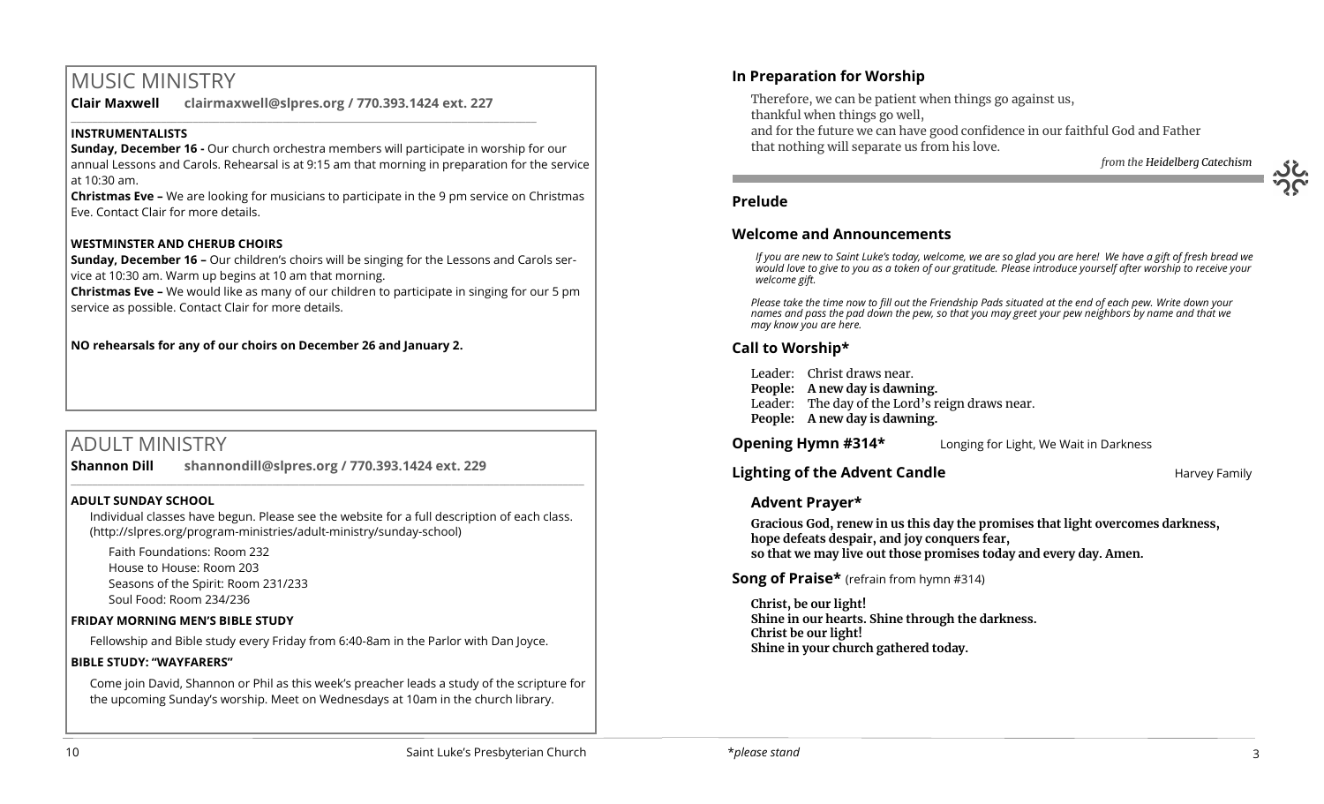# MUSIC MINISTRY

**Clair Maxwell clairmaxwell@slpres.org / 770.393.1424 ext. 227** 

\_\_\_\_\_\_\_\_\_\_\_\_\_\_\_\_\_\_\_\_\_\_\_\_\_\_\_\_\_\_\_\_\_\_\_\_\_\_\_\_\_\_\_\_\_\_\_\_\_\_\_\_\_\_\_\_\_\_\_\_\_\_\_\_\_\_\_\_\_\_\_\_\_\_\_\_\_\_\_\_\_\_\_\_\_\_\_\_

# **INSTRUMENTALISTS**

**Sunday, December 16 -** Our church orchestra members will participate in worship for our annual Lessons and Carols. Rehearsal is at 9:15 am that morning in preparation for the service at 10:30 am.

**Christmas Eve –** We are looking for musicians to participate in the 9 pm service on Christmas Eve. Contact Clair for more details.

## **WESTMINSTER AND CHERUB CHOIRS**

**Sunday, December 16 –** Our children's choirs will be singing for the Lessons and Carols service at 10:30 am. Warm up begins at 10 am that morning.

**Christmas Eve –** We would like as many of our children to participate in singing for our 5 pm service as possible. Contact Clair for more details.

**NO rehearsals for any of our choirs on December 26 and January 2.**

# ADULT MINISTRY

**Shannon Dill shannondill@slpres.org / 770.393.1424 ext. 229** 

#### **ADULT SUNDAY SCHOOL**

Individual classes have begun. Please see the website for a full description of each class. (http://slpres.org/program-ministries/adult-ministry/sunday-school)

 $\mathcal{L}_\mathcal{L} = \mathcal{L}_\mathcal{L} = \mathcal{L}_\mathcal{L} = \mathcal{L}_\mathcal{L} = \mathcal{L}_\mathcal{L} = \mathcal{L}_\mathcal{L} = \mathcal{L}_\mathcal{L} = \mathcal{L}_\mathcal{L} = \mathcal{L}_\mathcal{L} = \mathcal{L}_\mathcal{L} = \mathcal{L}_\mathcal{L} = \mathcal{L}_\mathcal{L} = \mathcal{L}_\mathcal{L} = \mathcal{L}_\mathcal{L} = \mathcal{L}_\mathcal{L} = \mathcal{L}_\mathcal{L} = \mathcal{L}_\mathcal{L}$ 

Faith Foundations: Room 232 House to House: Room 203 Seasons of the Spirit: Room 231/233 Soul Food: Room 234/236

#### **FRIDAY MORNING MEN'S BIBLE STUDY**

Fellowship and Bible study every Friday from 6:40-8am in the Parlor with Dan Joyce.

#### **BIBLE STUDY: "WAYFARERS"**

Come join David, Shannon or Phil as this week's preacher leads a study of the scripture for the upcoming Sunday's worship. Meet on Wednesdays at 10am in the church library.

# **In Preparation for Worship**

Therefore, we can be patient when things go against us,

thankful when things go well,

and for the future we can have good confidence in our faithful God and Father that nothing will separate us from his love.

*from the Heidelberg Catechism*

#### **Prelude**

#### **Welcome and Announcements**

*If you are new to Saint Luke's today, welcome, we are so glad you are here! We have a gift of fresh bread we would love to give to you as a token of our gratitude. Please introduce yourself after worship to receive your welcome gift.*

*Please take the time now to fill out the Friendship Pads situated at the end of each pew. Write down your names and pass the pad down the pew, so that you may greet your pew neighbors by name and that we may know you are here.*

# **Call to Worship\***

Leader: Christ draws near.

- **People: A new day is dawning.**
- Leader: The day of the Lord's reign draws near.
- **People: A new day is dawning.**

## **Opening Hymn #314\*** Longing for Light, We Wait in Darkness

**Lighting of the Advent Candle Harvey Family Harvey Family** 

#### **Advent Prayer\***

**Gracious God, renew in us this day the promises that light overcomes darkness, hope defeats despair, and joy conquers fear, so that we may live out those promises today and every day. Amen.** 

#### **Song of Praise\*** (refrain from hymn #314)

**Christ, be our light! Shine in our hearts. Shine through the darkness. Christ be our light! Shine in your church gathered today.**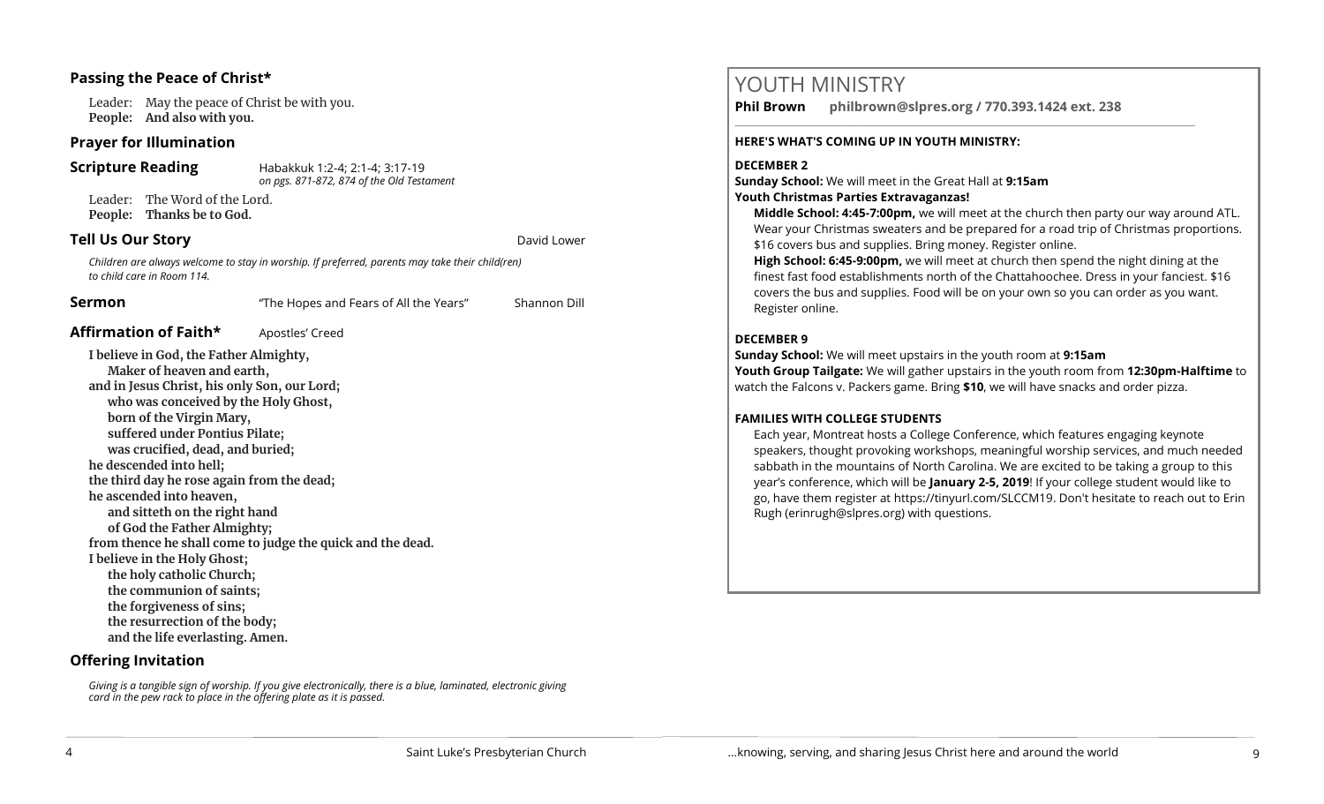### **Passing the Peace of Christ\***

Leader: May the peace of Christ be with you. **People: And also with you.** 

#### **Prayer for Illumination**

**Scripture Reading** Habakkuk 1:2-4; 2:1-4; 3:17-19 *on pgs. 871-872, 874 of the Old Testament*

Leader: The Word of the Lord. **People: Thanks be to God.** 

#### **Tell Us Our Story Community Community Community Community Community Community Community Community Community Community Community Community Community Community Community Community Community Community Community Community Com**

*Children are always welcome to stay in worship. If preferred, parents may take their child(ren) to child care in Room 114.*

**Sermon Example 3** The Hopes and Fears of All the Years" Shannon Dill

# **Affirmation of Faith\*** Apostles' Creed

**I believe in God, the Father Almighty, Maker of heaven and earth, and in Jesus Christ, his only Son, our Lord; who was conceived by the Holy Ghost, born of the Virgin Mary, suffered under Pontius Pilate; was crucified, dead, and buried; he descended into hell; the third day he rose again from the dead; he ascended into heaven, and sitteth on the right hand of God the Father Almighty; from thence he shall come to judge the quick and the dead. I believe in the Holy Ghost; the holy catholic Church; the communion of saints; the forgiveness of sins; the resurrection of the body; and the life everlasting. Amen.**

# **Offering Invitation**

*Giving is a tangible sign of worship. If you give electronically, there is a blue, laminated, electronic giving card in the pew rack to place in the offering plate as it is passed.*

# YOUTH MINISTRY

**Phil Brown philbrown@slpres.org / 770.393.1424 ext. 238** 

\_\_\_\_\_\_\_\_\_\_\_\_\_\_\_\_\_\_\_\_\_\_\_\_\_\_\_\_\_\_\_\_\_\_\_\_\_\_\_\_\_\_\_\_\_\_\_\_\_\_\_\_\_\_\_\_\_\_\_\_\_\_\_\_\_\_\_\_\_\_\_\_\_\_\_\_\_\_\_\_\_\_\_\_\_\_\_

#### **HERE'S WHAT'S COMING UP IN YOUTH MINISTRY:**

#### **DECEMBER 2**

**Sunday School:** We will meet in the Great Hall at **9:15am Youth Christmas Parties Extravaganzas!**

**Middle School: 4:45-7:00pm,** we will meet at the church then party our way around ATL. Wear your Christmas sweaters and be prepared for a road trip of Christmas proportions. \$16 covers bus and supplies. Bring money. Register online.

**High School: 6:45-9:00pm,** we will meet at church then spend the night dining at the finest fast food establishments north of the Chattahoochee. Dress in your fanciest. \$16 covers the bus and supplies. Food will be on your own so you can order as you want. Register online.

# **DECEMBER 9**

**Sunday School:** We will meet upstairs in the youth room at **9:15am**

**Youth Group Tailgate:** We will gather upstairs in the youth room from **12:30pm-Halftime** to watch the Falcons v. Packers game. Bring **\$10**, we will have snacks and order pizza.

#### **FAMILIES WITH COLLEGE STUDENTS**

Each year, Montreat hosts a College Conference, which features engaging keynote speakers, thought provoking workshops, meaningful worship services, and much needed sabbath in the mountains of North Carolina. We are excited to be taking a group to this year's conference, which will be **January 2-5, 2019**! If your college student would like to go, have them register at [https://tinyurl.com/SLCCM19.](https://tinyurl.com/SLCCM19) Don't hesitate to reach out to Erin Rugh (erinrugh@slpres.org) with questions.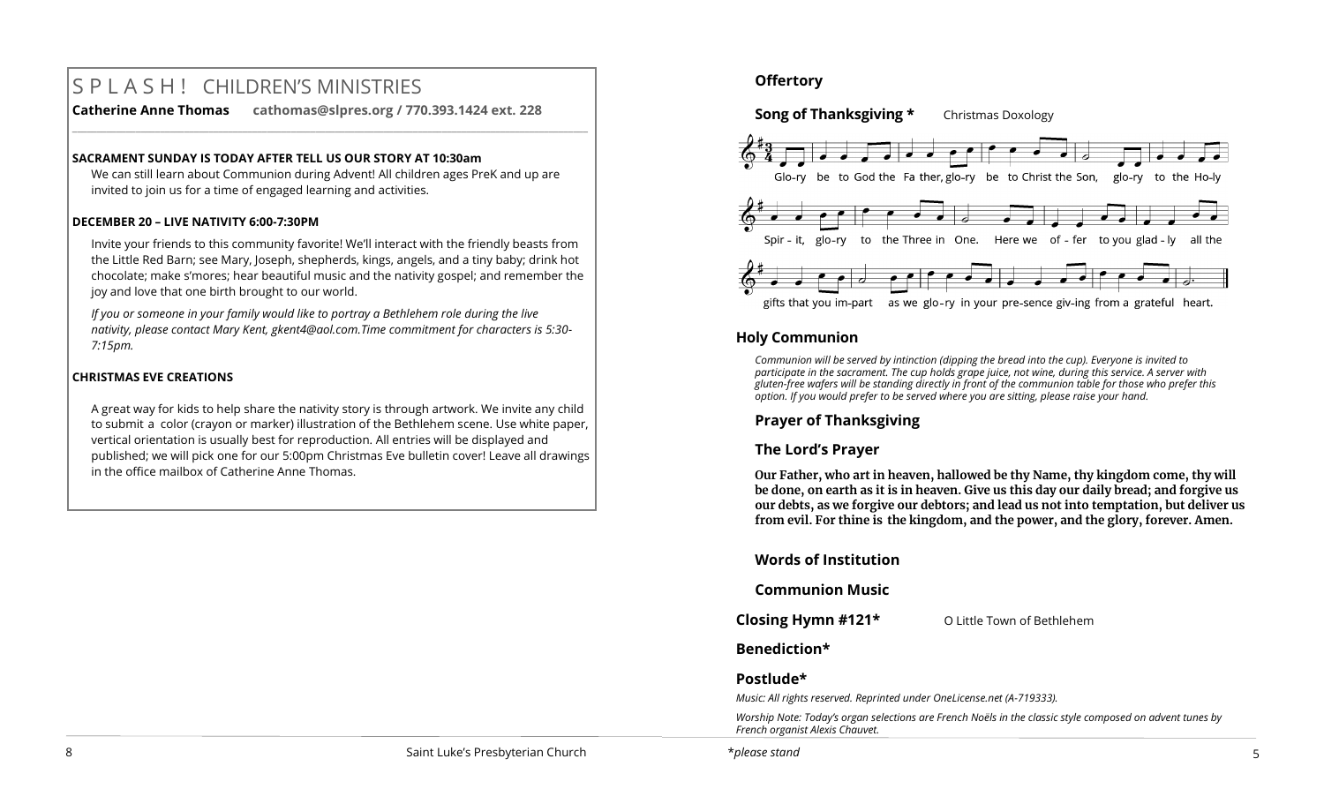# S P L A S H ! CHILDREN'S MINISTRIES

**Catherine Anne Thomas cathomas@slpres.org / 770.393.1424 ext. 228** 

#### **SACRAMENT SUNDAY IS TODAY AFTER TELL US OUR STORY AT 10:30am**

We can still learn about Communion during Advent! All children ages PreK and up are invited to join us for a time of engaged learning and activities.

**\_\_\_\_\_\_\_\_\_\_\_\_\_\_\_\_\_\_\_\_\_\_\_\_\_\_\_\_\_\_\_\_\_\_\_\_\_\_\_\_\_\_\_\_\_\_\_\_\_\_\_\_\_\_\_\_\_\_\_\_\_\_\_\_\_\_\_\_\_\_\_\_\_\_\_\_\_\_\_\_\_\_\_\_\_\_\_\_\_\_\_\_\_\_\_\_\_\_\_\_\_\_\_\_\_\_** 

#### **DECEMBER 20 – LIVE NATIVITY 6:00-7:30PM**

Invite your friends to this community favorite! We'll interact with the friendly beasts from the Little Red Barn; see Mary, Joseph, shepherds, kings, angels, and a tiny baby; drink hot chocolate; make s'mores; hear beautiful music and the nativity gospel; and remember the joy and love that one birth brought to our world.

*If you or someone in your family would like to portray a Bethlehem role during the live nativity, please contact Mary Kent, [gkent4@aol.com.T](mailto:gkent4@aol.com)ime commitment for characters is 5:30- 7:15pm.*

#### **CHRISTMAS EVE CREATIONS**

A great way for kids to help share the nativity story is through artwork. We invite any child to submit a color (crayon or marker) illustration of the Bethlehem scene. Use white paper, vertical orientation is usually best for reproduction. All entries will be displayed and published; we will pick one for our 5:00pm Christmas Eve bulletin cover! Leave all drawings in the office mailbox of Catherine Anne Thomas.

# **Offertory**



# **Holy Communion**

*Communion will be served by intinction (dipping the bread into the cup). Everyone is invited to participate in the sacrament. The cup holds grape juice, not wine, during this service. A server with gluten-free wafers will be standing directly in front of the communion table for those who prefer this option. If you would prefer to be served where you are sitting, please raise your hand.*

# **Prayer of Thanksgiving**

# **The Lord's Prayer**

**Our Father, who art in heaven, hallowed be thy Name, thy kingdom come, thy will be done, on earth as it is in heaven. Give us this day our daily bread; and forgive us our debts, as we forgive our debtors; and lead us not into temptation, but deliver us from evil. For thine is the kingdom, and the power, and the glory, forever. Amen.**

#### **Words of Institution**

**Communion Music**

**Closing Hymn #121\*** O Little Town of Bethlehem

# **Benediction\***

#### **Postlude\***

*Music: All rights reserved. Reprinted under OneLicense.net (A-719333).*

*Worship Note: Today's organ selections are French Noëls in the classic style composed on advent tunes by French organist Alexis Chauvet.*